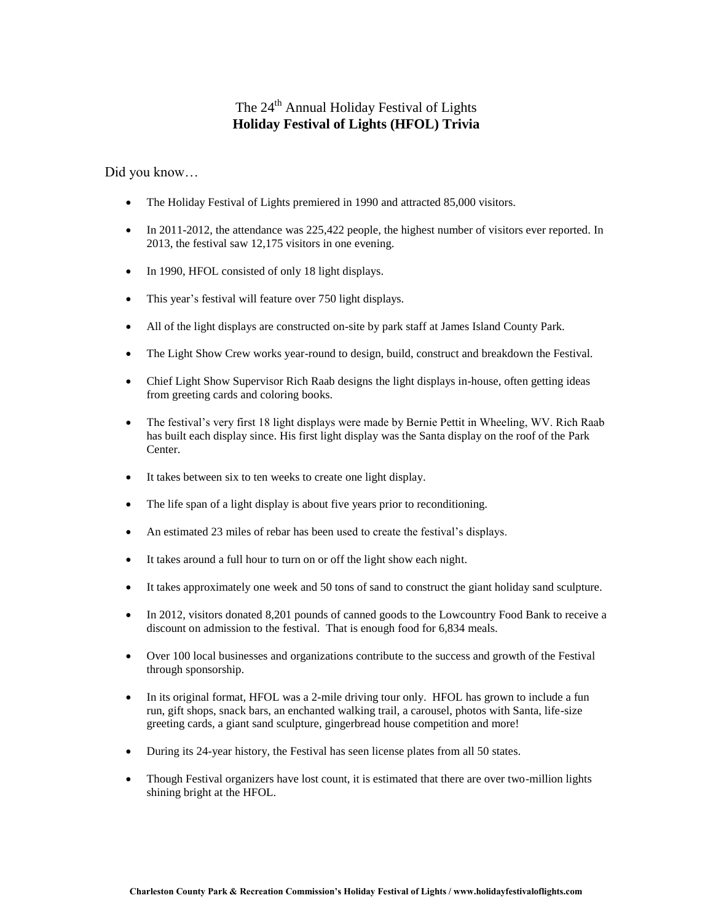## The 24<sup>th</sup> Annual Holiday Festival of Lights **Holiday Festival of Lights (HFOL) Trivia**

Did you know…

- The Holiday Festival of Lights premiered in 1990 and attracted 85,000 visitors.
- In 2011-2012, the attendance was 225,422 people, the highest number of visitors ever reported. In 2013, the festival saw 12,175 visitors in one evening.
- In 1990, HFOL consisted of only 18 light displays.
- This year's festival will feature over 750 light displays.
- All of the light displays are constructed on-site by park staff at James Island County Park.
- The Light Show Crew works year-round to design, build, construct and breakdown the Festival.
- Chief Light Show Supervisor Rich Raab designs the light displays in-house, often getting ideas from greeting cards and coloring books.
- The festival's very first 18 light displays were made by Bernie Pettit in Wheeling, WV. Rich Raab has built each display since. His first light display was the Santa display on the roof of the Park Center.
- It takes between six to ten weeks to create one light display.
- The life span of a light display is about five years prior to reconditioning.
- An estimated 23 miles of rebar has been used to create the festival's displays.
- It takes around a full hour to turn on or off the light show each night.
- It takes approximately one week and 50 tons of sand to construct the giant holiday sand sculpture.
- In 2012, visitors donated 8,201 pounds of canned goods to the Lowcountry Food Bank to receive a discount on admission to the festival. That is enough food for 6,834 meals.
- Over 100 local businesses and organizations contribute to the success and growth of the Festival through sponsorship.
- In its original format, HFOL was a 2-mile driving tour only. HFOL has grown to include a fun run, gift shops, snack bars, an enchanted walking trail, a carousel, photos with Santa, life-size greeting cards, a giant sand sculpture, gingerbread house competition and more!
- During its 24-year history, the Festival has seen license plates from all 50 states.
- Though Festival organizers have lost count, it is estimated that there are over two-million lights shining bright at the HFOL.